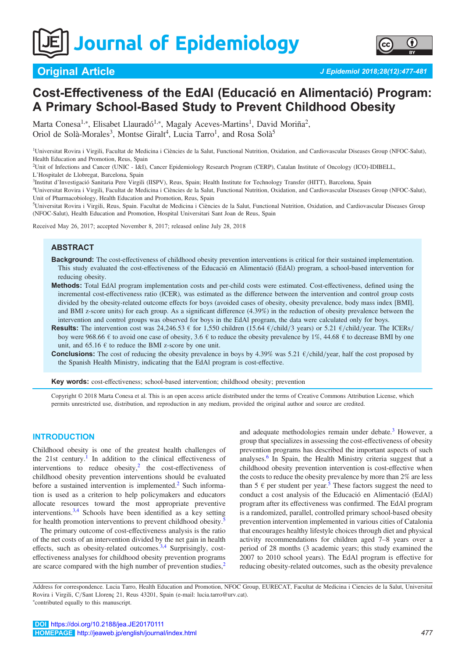Journal of Epidemiology



# Cost-Effectiveness of the EdAl (Educació en Alimentació) Program: A Primary School-Based Study to Prevent Childhood Obesity

Marta Conesa<sup>1,\*</sup>, Elisabet Llauradó<sup>1,\*</sup>, Magaly Aceves-Martins<sup>1</sup>, David Moriña<sup>2</sup>, Oriol de Solà-Morales<sup>3</sup>, Montse Giralt<sup>4</sup>, Lucia Tarro<sup>1</sup>, and Rosa Solà<sup>5</sup>

<sup>1</sup>Universitat Rovira i Virgili, Facultat de Medicina i Ciències de la Salut, Functional Nutrition, Oxidation, and Cardiovascular Diseases Group (NFOC-Salut), Health Education and Promotion, Reus, Spain

2 Unit of Infections and Cancer (UNIC - I&I), Cancer Epidemiology Research Program (CERP), Catalan Institute of Oncology (ICO)-IDIBELL, L'Hospitalet de Llobregat, Barcelona, Spain

3 Institut d'Investigació Sanitaria Pere Virgili (IISPV), Reus, Spain; Health Institute for Technology Transfer (HITT), Barcelona, Spain

4 Universitat Rovira i Virgili, Facultat de Medicina i Ciències de la Salut, Functional Nutrition, Oxidation, and Cardiovascular Diseases Group (NFOC-Salut), Unit of Pharmacobiology, Health Education and Promotion, Reus, Spain

5 Universitat Rovira i Virgili, Reus, Spain. Facultat de Medicina i Ciències de la Salut, Functional Nutrition, Oxidation, and Cardiovascular Diseases Group (NFOC-Salut), Health Education and Promotion, Hospital Universitari Sant Joan de Reus, Spain

Received May 26, 2017; accepted November 8, 2017; released online July 28, 2018

## ABSTRACT

- Background: The cost-effectiveness of childhood obesity prevention interventions is critical for their sustained implementation. This study evaluated the cost-effectiveness of the Educació en Alimentació (EdAl) program, a school-based intervention for reducing obesity.
- Methods: Total EdAl program implementation costs and per-child costs were estimated. Cost-effectiveness, defined using the incremental cost-effectiveness ratio (ICER), was estimated as the difference between the intervention and control group costs divided by the obesity-related outcome effects for boys (avoided cases of obesity, obesity prevalence, body mass index [BMI], and BMI z-score units) for each group. As a significant difference (4.39%) in the reduction of obesity prevalence between the intervention and control groups was observed for boys in the EdAl program, the data were calculated only for boys.
- Results: The intervention cost was 24,246.53  $\epsilon$  for 1,550 children (15.64  $\epsilon$ /child/3 years) or 5.21  $\epsilon$ /child/year. The ICERs/ boy were 968.66  $\epsilon$  to avoid one case of obesity, 3.6  $\epsilon$  to reduce the obesity prevalence by 1%, 44.68  $\epsilon$  to decrease BMI by one unit, and 65.16  $\epsilon$  to reduce the BMI z-score by one unit.
- **Conclusions:** The cost of reducing the obesity prevalence in boys by 4.39% was 5.21  $\epsilon$ /child/year, half the cost proposed by the Spanish Health Ministry, indicating that the EdAl program is cost-effective.

Key words: cost-effectiveness; school-based intervention; childhood obesity; prevention

Copyright © 2018 Marta Conesa et al. This is an open access article distributed under the terms of Creative Commons Attribution License, which permits unrestricted use, distribution, and reproduction in any medium, provided the original author and source are credited.

#### INTRODUCTION

Childhood obesity is one of the greatest health challenges of the 2[1](#page-4-0)st century.<sup>1</sup> In addition to the clinical effectiveness of interventions to reduce obesity, $2$  the cost-effectiveness of childhood obesity prevention interventions should be evaluated before a sustained intervention is implemented.<sup>[2](#page-4-0)</sup> Such information is used as a criterion to help policymakers and educators allocate resources toward the most appropriate preventive interventions.[3,4](#page-4-0) Schools have been identified as a key setting for health promotion interventions to prevent childhood obesity.<sup>[5](#page-4-0)</sup>

The primary outcome of cost-effectiveness analysis is the ratio of the net costs of an intervention divided by the net gain in health effects, such as obesity-related outcomes. $3,4$  Surprisingly, costeffectiveness analyses for childhood obesity prevention programs are scarce compared with the high number of prevention studies, $<sup>2</sup>$  $<sup>2</sup>$  $<sup>2</sup>$ </sup> and adequate methodologies remain under debate.<sup>[3](#page-4-0)</sup> However, a group that specializes in assessing the cost-effectiveness of obesity prevention programs has described the important aspects of such analyses.[6](#page-4-0) In Spain, the Health Ministry criteria suggest that a childhood obesity prevention intervention is cost-effective when the costs to reduce the obesity prevalence by more than 2% are less than [5](#page-4-0)  $\epsilon$  per student per year.<sup>5</sup> These factors suggest the need to conduct a cost analysis of the Educació en Alimentació (EdAl) program after its effectiveness was confirmed. The EdAl program is a randomized, parallel, controlled primary school-based obesity prevention intervention implemented in various cities of Catalonia that encourages healthy lifestyle choices through diet and physical activity recommendations for children aged 7–8 years over a period of 28 months (3 academic years; this study examined the 2007 to 2010 school years). The EdAl program is effective for reducing obesity-related outcomes, such as the obesity prevalence

Address for correspondence. Lucia Tarro, Health Education and Promotion, NFOC Group, EURECAT, Facultat de Medicina i Ciencies de la Salut, Universitat Rovira i Virgili, C/Sant Llorenç 21, Reus 43201, Spain (e-mail: lucia.tarro@urv.cat). + contributed equally to this manuscript.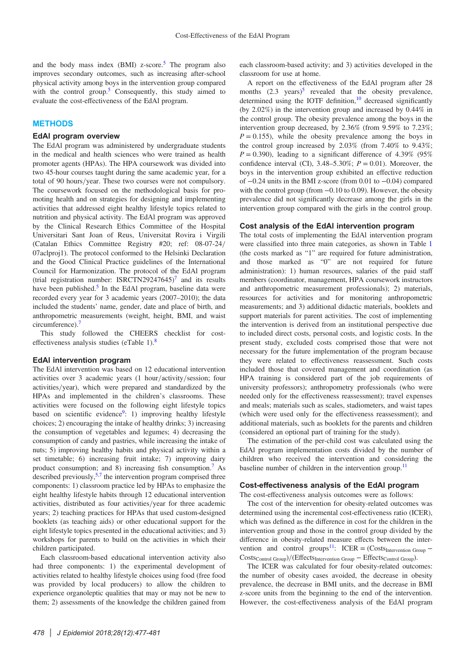and the body mass index  $(BMI)$  z-score.<sup>[5](#page-4-0)</sup> The program also improves secondary outcomes, such as increasing after-school physical activity among boys in the intervention group compared with the control group.<sup>5</sup> Consequently, this study aimed to evaluate the cost-effectiveness of the EdAl program.

## **METHODS**

#### EdAl program overview

The EdAl program was administered by undergraduate students in the medical and health sciences who were trained as health promoter agents (HPAs). The HPA coursework was divided into two 45-hour courses taught during the same academic year, for a total of 90 hours/year. These two courses were not compulsory. The coursework focused on the methodological basis for promoting health and on strategies for designing and implementing activities that addressed eight healthy lifestyle topics related to nutrition and physical activity. The EdAl program was approved by the Clinical Research Ethics Committee of the Hospital Universitari Sant Joan of Reus, Universitat Rovira i Virgili (Catalan Ethics Committee Registry #20; ref: 08-07-24/ 07aclproj1). The protocol conformed to the Helsinki Declaration and the Good Clinical Practice guidelines of the International Council for Harmonization. The protocol of the EdAl program (trial registration number: ISRCTN29247645)<sup>7</sup> and its results have been published.<sup>5</sup> In the EdAl program, baseline data were recorded every year for 3 academic years (2007–2010); the data included the students' name, gender, date and place of birth, and anthropometric measurements (weight, height, BMI, and waist circumference).[7](#page-4-0)

This study followed the CHEERS checklist for costeffectiveness analysis studies (eTable 1).[8](#page-4-0)

#### EdAl intervention program

The EdAl intervention was based on 12 educational intervention activities over  $3$  academic years (1 hour/activity/session; four activities/year), which were prepared and standardized by the HPAs and implemented in the children's classrooms. These activities were focused on the following eight lifestyle topics based on scientific evidence<sup>9</sup>: 1) improving healthy lifestyle choices; 2) encouraging the intake of healthy drinks; 3) increasing the consumption of vegetables and legumes; 4) decreasing the consumption of candy and pastries, while increasing the intake of nuts; 5) improving healthy habits and physical activity within a set timetable; 6) increasing fruit intake; 7) improving dairy product consumption; and 8) increasing fish consumption[.7](#page-4-0) As described previously,  $5.7$  the intervention program comprised three components: 1) classroom practice led by HPAs to emphasize the eight healthy lifestyle habits through 12 educational intervention activities, distributed as four activities/year for three academic years; 2) teaching practices for HPAs that used custom-designed booklets (as teaching aids) or other educational support for the eight lifestyle topics presented in the educational activities; and 3) workshops for parents to build on the activities in which their children participated.

Each classroom-based educational intervention activity also had three components: 1) the experimental development of activities related to healthy lifestyle choices using food (free food was provided by local producers) to allow the children to experience organoleptic qualities that may or may not be new to them; 2) assessments of the knowledge the children gained from

each classroom-based activity; and 3) activities developed in the classroom for use at home.

A report on the effectiveness of the EdAl program after 28 months  $(2.3 \text{ years})^5$  $(2.3 \text{ years})^5$  revealed that the obesity prevalence, determined using the IOTF definition,<sup>10</sup> decreased significantly (by 2.02%) in the intervention group and increased by 0.44% in the control group. The obesity prevalence among the boys in the intervention group decreased, by 2.36% (from 9.59% to 7.23%;  $P = 0.155$ ), while the obesity prevalence among the boys in the control group increased by 2.03% (from 7.40% to 9.43%;  $P = 0.390$ ), leading to a significant difference of 4.39% (95%) confidence interval (CI),  $3.48-5.30\%$ ;  $P = 0.01$ ). Moreover, the boys in the intervention group exhibited an effective reduction of −0.24 units in the BMI z-score (from 0.01 to −0.04) compared with the control group (from −0.10 to 0.09). However, the obesity prevalence did not significantly decrease among the girls in the intervention group compared with the girls in the control group.

#### Cost analysis of the EdAl intervention program

The total costs of implementing the EdAl intervention program were classified into three main categories, as shown in Table [1](#page-2-0) (the costs marked as "1" are required for future administration, and those marked as "0" are not required for future administration): 1) human resources, salaries of the paid staff members (coordinator, management, HPA coursework instructors and anthropometric measurement professionals); 2) materials, resources for activities and for monitoring anthropometric measurements; and 3) additional didactic materials, booklets and support materials for parent activities. The cost of implementing the intervention is derived from an institutional perspective due to included direct costs, personal costs, and logistic costs. In the present study, excluded costs comprised those that were not necessary for the future implementation of the program because they were related to effectiveness reassessment. Such costs included those that covered management and coordination (as HPA training is considered part of the job requirements of university professors); anthropometry professionals (who were needed only for the effectiveness reassessment); travel expenses and meals; materials such as scales, stadiometers, and waist tapes (which were used only for the effectiveness reassessment); and additional materials, such as booklets for the parents and children (considered an optional part of training for the study).

The estimation of the per-child cost was calculated using the EdAl program implementation costs divided by the number of children who received the intervention and considering the baseline number of children in the intervention group.<sup>[11](#page-4-0)</sup>

## Cost-effectiveness analysis of the EdAl program

The cost-effectiveness analysis outcomes were as follows:

The cost of the intervention for obesity-related outcomes was determined using the incremental cost-effectiveness ratio (ICER), which was defined as the difference in cost for the children in the intervention group and those in the control group divided by the difference in obesity-related measure effects between the inter-vention and control groups<sup>[11](#page-4-0)</sup>: ICER = (Costs<sub>Intervention Group</sub> –  $Costs_{Control Group}$ )/(Effects<sub>Intervention Group</sub> – Effects<sub>Control Group</sub>).

The ICER was calculated for four obesity-related outcomes: the number of obesity cases avoided, the decrease in obesity prevalence, the decrease in BMI units, and the decrease in BMI z-score units from the beginning to the end of the intervention. However, the cost-effectiveness analysis of the EdAl program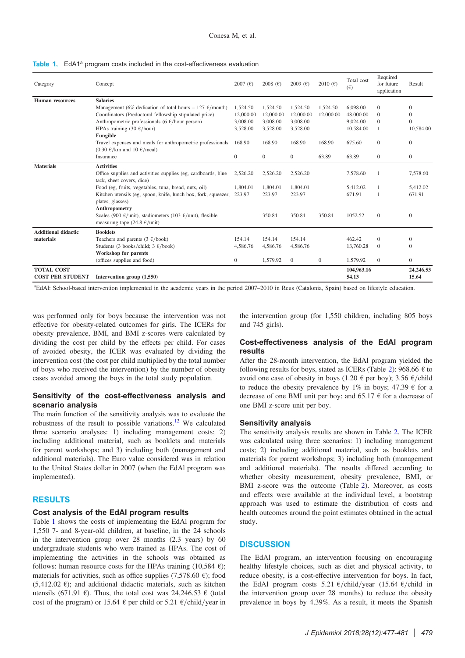<span id="page-2-0"></span>

|  |  |  |  |  |  | <b>Table 1.</b> EdA1 <sup>a</sup> program costs included in the cost-effectiveness evaluation |  |
|--|--|--|--|--|--|-----------------------------------------------------------------------------------------------|--|
|--|--|--|--|--|--|-----------------------------------------------------------------------------------------------|--|

| Category                                     | Concept                                                                                                    | 2007 $(6)$     | 2008 $(f)$     | 2009 $(E)$       | 2010 $(F)$   | Total cost<br>$(\epsilon)$ | Required<br>for future<br>application | Result             |
|----------------------------------------------|------------------------------------------------------------------------------------------------------------|----------------|----------------|------------------|--------------|----------------------------|---------------------------------------|--------------------|
| <b>Human</b> resources                       | <b>Salaries</b>                                                                                            |                |                |                  |              |                            |                                       |                    |
|                                              | Management (6% dedication of total hours – 127 $\epsilon$ /month)                                          | 1,524.50       | 1,524.50       | 1,524.50         | 1,524.50     | 6,098.00                   | $\mathbf{0}$                          | $\theta$           |
|                                              | Coordinators (Predoctoral fellowship stipulated price)                                                     | 12,000.00      | 12,000.00      | 12,000.00        | 12,000.00    | 48,000.00                  | $\Omega$                              | $\Omega$           |
|                                              | Anthropometric professionals (6 $\epsilon$ /hour person)                                                   | 3,008.00       | 3,008.00       | 3,008.00         |              | 9,024.00                   | $\Omega$                              | $\Omega$           |
|                                              | HPAs training (30 $\epsilon$ /hour)                                                                        | 3,528.00       | 3,528.00       | 3,528.00         |              | 10,584.00                  | 1                                     | 10,584.00          |
|                                              | Fungible                                                                                                   |                |                |                  |              |                            |                                       |                    |
|                                              | Travel expenses and meals for anthropometric professionals<br>$(0.30 \text{ } \in$ /km and 10 $\in$ /meal) | 168.90         | 168.90         | 168.90           | 168.90       | 675.60                     | $\mathbf{0}$                          | $\theta$           |
|                                              | Insurance                                                                                                  | $\overline{0}$ | $\overline{0}$ | $\boldsymbol{0}$ | 63.89        | 63.89                      | $\mathbf{0}$                          | $\overline{0}$     |
| <b>Materials</b>                             | <b>Activities</b>                                                                                          |                |                |                  |              |                            |                                       |                    |
|                                              | Office supplies and activities supplies (eg, cardboards, blue<br>tack, sheet covers, dice)                 | 2,526.20       | 2,526.20       | 2,526.20         |              | 7,578.60                   | 1                                     | 7,578.60           |
|                                              | Food (eg, fruits, vegetables, tuna, bread, nuts, oil)                                                      | 1.804.01       | 1,804.01       | 1,804.01         |              | 5,412.02                   |                                       | 5,412.02           |
|                                              | Kitchen utensils (eg, spoon, knife, lunch box, fork, squeezer,<br>plates, glasses)                         | 223.97         | 223.97         | 223.97           |              | 671.91                     |                                       | 671.91             |
|                                              | Anthropometry                                                                                              |                |                |                  |              |                            |                                       |                    |
|                                              | Scales (900 €/unit), stadiometers (103 €/unit), flexible<br>measuring tape (24.8 $\epsilon$ /unit)         |                | 350.84         | 350.84           | 350.84       | 1052.52                    | $\mathbf{0}$                          | $\mathbf{0}$       |
| <b>Additional didactic</b>                   | <b>Booklets</b>                                                                                            |                |                |                  |              |                            |                                       |                    |
| materials                                    | Teachers and parents $(3 \text{ } \in / \text{book})$                                                      | 154.14         | 154.14         | 154.14           |              | 462.42                     | $\mathbf{0}$                          | $\Omega$           |
|                                              | Students (3 books/child; $3 \text{ }\epsilon\text{/book}$ )                                                | 4,586.76       | 4,586.76       | 4,586.76         |              | 13,760.28                  | $\overline{0}$                        | $\theta$           |
|                                              | <b>Workshop for parents</b>                                                                                |                |                |                  |              |                            |                                       |                    |
|                                              | (offices supplies and food)                                                                                | $\overline{0}$ | 1,579.92       | $\Omega$         | $\mathbf{0}$ | 1,579.92                   | $\mathbf{0}$                          | $\overline{0}$     |
| <b>TOTAL COST</b><br><b>COST PER STUDENT</b> | Intervention group $(1,550)$                                                                               |                |                |                  |              | 104,963.16<br>54.13        |                                       | 24,246.53<br>15.64 |

a EdAl: School-based intervention implemented in the academic years in the period 2007–2010 in Reus (Catalonia, Spain) based on lifestyle education.

was performed only for boys because the intervention was not effective for obesity-related outcomes for girls. The ICERs for obesity prevalence, BMI, and BMI z-scores were calculated by dividing the cost per child by the effects per child. For cases of avoided obesity, the ICER was evaluated by dividing the intervention cost (the cost per child multiplied by the total number of boys who received the intervention) by the number of obesity cases avoided among the boys in the total study population.

## Sensitivity of the cost-effectiveness analysis and scenario analysis

The main function of the sensitivity analysis was to evaluate the robustness of the result to possible variations.[12](#page-4-0) We calculated three scenario analyses: 1) including management costs; 2) including additional material, such as booklets and materials for parent workshops; and 3) including both (management and additional materials). The Euro value considered was in relation to the United States dollar in 2007 (when the EdAl program was implemented).

## RESULTS

#### Cost analysis of the EdAl program results

Table 1 shows the costs of implementing the EdAl program for 1,550 7- and 8-year-old children, at baseline, in the 24 schools in the intervention group over 28 months (2.3 years) by 60 undergraduate students who were trained as HPAs. The cost of implementing the activities in the schools was obtained as follows: human resource costs for the HPAs training (10,584  $\epsilon$ ); materials for activities, such as office supplies (7,578.60  $\epsilon$ ); food  $(5,412.02 \epsilon)$ ; and additional didactic materials, such as kitchen utensils (671.91 €). Thus, the total cost was 24,246.53 € (total cost of the program) or 15.64  $\epsilon$  per child or 5.21  $\epsilon$ /child/year in

the intervention group (for 1,550 children, including 805 boys and 745 girls).

## Cost-effectiveness analysis of the EdAl program results

After the 28-month intervention, the EdAl program yielded the following results for boys, stated as ICERs (Table [2](#page-3-0)): 968.66  $\epsilon$  to avoid one case of obesity in boys (1.20  $\epsilon$  per boy); 3.56  $\epsilon$ /child to reduce the obesity prevalence by 1% in boys;  $47.39 \text{ } \in \text{ for a}$ decrease of one BMI unit per boy; and 65.17  $\epsilon$  for a decrease of one BMI z-score unit per boy.

#### Sensitivity analysis

The sensitivity analysis results are shown in Table [2](#page-3-0). The ICER was calculated using three scenarios: 1) including management costs; 2) including additional material, such as booklets and materials for parent workshops; 3) including both (management and additional materials). The results differed according to whether obesity measurement, obesity prevalence, BMI, or BMI z-score was the outcome (Table [2](#page-3-0)). Moreover, as costs and effects were available at the individual level, a bootstrap approach was used to estimate the distribution of costs and health outcomes around the point estimates obtained in the actual study.

# **DISCUSSION**

The EdAl program, an intervention focusing on encouraging healthy lifestyle choices, such as diet and physical activity, to reduce obesity, is a cost-effective intervention for boys. In fact, the EdAl program costs 5.21  $\epsilon$ /child/year (15.64  $\epsilon$ /child in the intervention group over 28 months) to reduce the obesity prevalence in boys by 4.39%. As a result, it meets the Spanish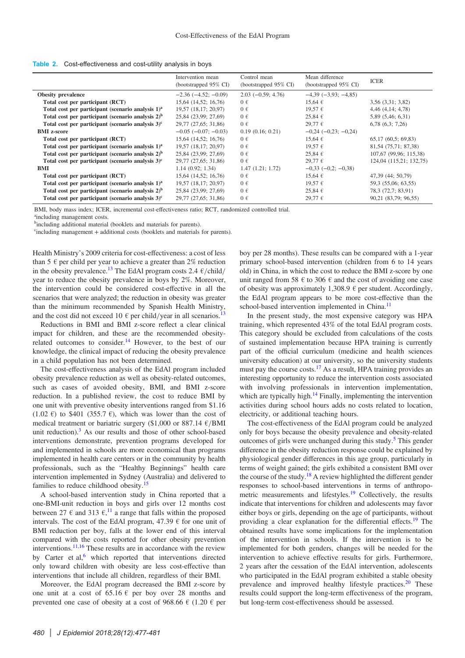<span id="page-3-0"></span>

|  | Table 2. Cost-effectiveness and cost-utility analysis in boys |  |  |
|--|---------------------------------------------------------------|--|--|
|  |                                                               |  |  |

|                                                                    | Intervention mean<br>(bootstrapped 95% CI) | Control mean<br>(bootstrapped 95% CI) | Mean difference<br>(bootstrapped 95% CI) | <b>ICER</b>             |
|--------------------------------------------------------------------|--------------------------------------------|---------------------------------------|------------------------------------------|-------------------------|
| <b>Obesity prevalence</b>                                          | $-2.36(-4.52; -0.09)$                      | $2.03(-0.59; 4.76)$                   | $-4,39(-3,93; -4,85)$                    |                         |
| Total cost per participant (RCT)                                   | 15,64 (14,52; 16,76)                       | $0 \in$                               | $15.64 \in$                              | $3,56$ $(3,31; 3,82)$   |
| Total cost per participant (scenario analysis 1) <sup>a</sup>      | 19,57 (18,17; 20,97)                       | $0 \in$                               | 19,57€                                   | $4,46$ $(4,14; 4,78)$   |
| Total cost per participant (scenario analysis $2$ ) <sup>b</sup>   | 25,84 (23,99; 27,69)                       | $0 \in$                               | $25,84 \in$                              | 5,89 (5,46; 6,31)       |
| Total cost per participant (scenario analysis $3^c$ ) <sup>c</sup> | 29,77 (27,65; 31,86)                       | $0 \in$                               | $29,77$ €                                | $6,78$ $(6,3; 7,26)$    |
| <b>BMI</b> z-score                                                 | $-0.05$ ( $-0.07$ ; $-0.03$ )              | 0.19(0.16; 0.21)                      | $-0.24$ ( $-0.23$ ; $-0.24$ )            |                         |
| Total cost per participant (RCT)                                   | 15,64 (14,52; 16,76)                       | $0 \in$                               | $15,64 \in$                              | 65,17(60,5;69,83)       |
| Total cost per participant (scenario analysis $1$ ) <sup>a</sup>   | 19,57 (18,17; 20,97)                       | $0 \in$                               | 19,57€                                   | 81,54 (75,71; 87,38)    |
| Total cost per participant (scenario analysis $2$ ) <sup>b</sup>   | 25,84 (23,99; 27,69)                       | $0 \in$                               | $25,84 \in$                              | 107,67 (99,96; 115,38)  |
| Total cost per participant (scenario analysis $3^c$ ) <sup>c</sup> | 29,77 (27,65; 31,86)                       | $0 \in$                               | 29.77€                                   | 124,04 (115,21; 132,75) |
| <b>BMI</b>                                                         | 1.14(0.92; 1.34)                           | 1.47(1.21; 1.72)                      | $-0,33(-0,2;-0,38)$                      |                         |
| Total cost per participant (RCT)                                   | $15,64$ (14,52; 16,76)                     | $0 \in$                               | $15,64 \in$                              | 47,39 (44; 50,79)       |
| Total cost per participant (scenario analysis $1$ ) <sup>a</sup>   | 19,57 (18,17; 20,97)                       | $0 \in$                               | 19,57€                                   | 59,3 (55,06; 63,55)     |
| Total cost per participant (scenario analysis $2$ ) <sup>b</sup>   | 25,84 (23,99; 27,69)                       | $0 \in$                               | $25,84 \in$                              | 78,3 (72,7; 83,91)      |
| Total cost per participant (scenario analysis $3^c$ ) <sup>c</sup> | 29,77 (27,65; 31,86)                       | $0 \in$                               | $29,77$ €                                | 90,21 (83,79; 96,55)    |

BMI, body mass index; ICER, incremental cost-effectiveness ratio; RCT, randomized controlled trial.

aincluding management costs.

<sup>b</sup>including additional material (booklets and materials for parents).

c including management + additional costs (booklets and materials for parents).

Health Ministry's 2009 criteria for cost-effectiveness: a cost of less than 5  $\epsilon$  per child per year to achieve a greater than 2% reduction in the obesity prevalence.<sup>[13](#page-4-0)</sup> The EdAl program costs 2.4  $\epsilon$ /child/ year to reduce the obesity prevalence in boys by 2%. Moreover, the intervention could be considered cost-effective in all the scenarios that were analyzed; the reduction in obesity was greater than the minimum recommended by Spanish Health Ministry, and the cost did not exceed 10  $\epsilon$  per child/year in all scenarios.

Reductions in BMI and BMI z-score reflect a clear clinical impact for children, and these are the recommended obesityrelated outcomes to consider.<sup>14</sup> However, to the best of our knowledge, the clinical impact of reducing the obesity prevalence in a child population has not been determined.

The cost-effectiveness analysis of the EdAl program included obesity prevalence reduction as well as obesity-related outcomes, such as cases of avoided obesity, BMI, and BMI z-score reduction. In a published review, the cost to reduce BMI by one unit with preventive obesity interventions ranged from \$1.16  $(1.02 \text{ } \epsilon)$  to \$401 (355.7  $\epsilon$ ), which was lower than the cost of medical treatment or bariatric surgery (\$1,000 or 887.14  $\epsilon$ /BMI unit reduction).[3](#page-4-0) As our results and those of other school-based interventions demonstrate, prevention programs developed for and implemented in schools are more economical than programs implemented in health care centers or in the community by health professionals, such as the "Healthy Beginnings" health care intervention implemented in Sydney (Australia) and delivered to families to reduce childhood obesity.[15](#page-4-0)

A school-based intervention study in China reported that a one-BMI-unit reduction in boys and girls over 12 months cost between 27  $\epsilon$  and 313  $\epsilon$ ,<sup>[11](#page-4-0)</sup> a range that falls within the proposed intervals. The cost of the EdAl program,  $47.39 \text{ } \in$  for one unit of BMI reduction per boy, falls at the lower end of this interval compared with the costs reported for other obesity prevention interventions.[11,16](#page-4-0) These results are in accordance with the review by Carter et al,<sup>[6](#page-4-0)</sup> which reported that interventions directed only toward children with obesity are less cost-effective than interventions that include all children, regardless of their BMI.

Moreover, the EdAl program decreased the BMI z-score by one unit at a cost of  $65.16 \text{ }\epsilon$  per boy over 28 months and prevented one case of obesity at a cost of 968.66  $\in$  (1.20  $\in$  per boy per 28 months). These results can be compared with a 1-year primary school-based intervention (children from 6 to 14 years old) in China, in which the cost to reduce the BMI z-score by one unit ranged from 58  $\epsilon$  to 306  $\epsilon$  and the cost of avoiding one case of obesity was approximately 1,308.9  $\epsilon$  per student. Accordingly, the EdAl program appears to be more cost-effective than the school-based intervention implemented in China.<sup>[11](#page-4-0)</sup>

In the present study, the most expensive category was HPA training, which represented 43% of the total EdAl program costs. This category should be excluded from calculations of the costs of sustained implementation because HPA training is currently part of the official curriculum (medicine and health sciences university education) at our university, so the university students must pay the course costs.[17](#page-4-0) As a result, HPA training provides an interesting opportunity to reduce the intervention costs associated with involving professionals in intervention implementation, which are typically high. $14$  Finally, implementing the intervention activities during school hours adds no costs related to location, electricity, or additional teaching hours.

The cost-effectiveness of the EdAl program could be analyzed only for boys because the obesity prevalence and obesity-related outcomes of girls were unchanged during this study.<sup>[5](#page-4-0)</sup> This gender difference in the obesity reduction response could be explained by physiological gender differences in this age group, particularly in terms of weight gained; the girls exhibited a consistent BMI over the course of the study.<sup>[18](#page-4-0)</sup> A review highlighted the different gender responses to school-based interventions in terms of anthropo-metric measurements and lifestyles.<sup>[19](#page-4-0)</sup> Collectively, the results indicate that interventions for children and adolescents may favor either boys or girls, depending on the age of participants, without providing a clear explanation for the differential effects.<sup>[19](#page-4-0)</sup> The obtained results have some implications for the implementation of the intervention in schools. If the intervention is to be implemented for both genders, changes will be needed for the intervention to achieve effective results for girls. Furthermore, 2 years after the cessation of the EdAl intervention, adolescents who participated in the EdAl program exhibited a stable obesity prevalence and improved healthy lifestyle practices.<sup>20</sup> These results could support the long-term effectiveness of the program, but long-term cost-effectiveness should be assessed.